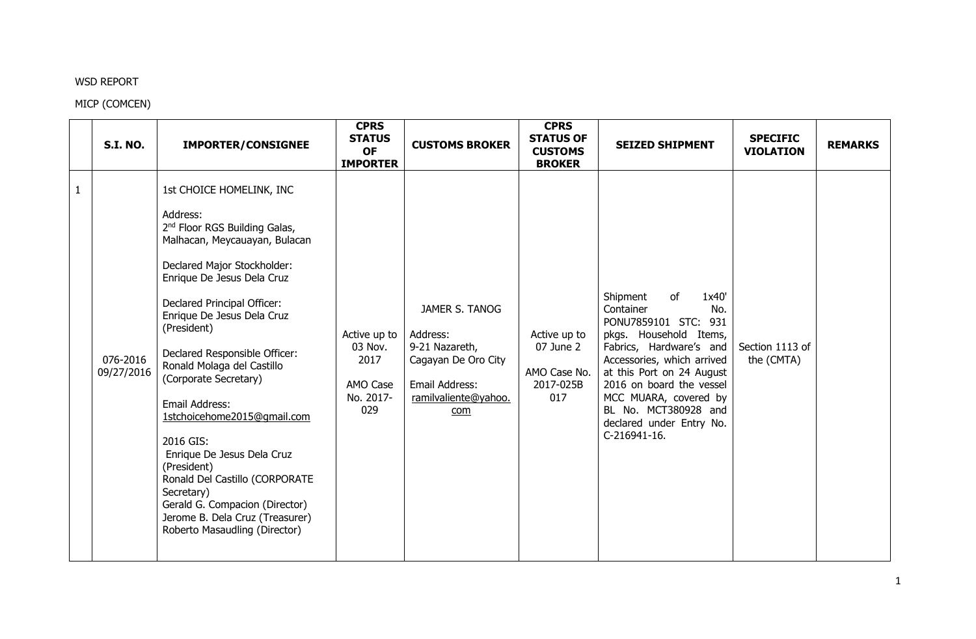## WSD REPORT

## MICP (COMCEN)

|              | <b>S.I. NO.</b>        | <b>IMPORTER/CONSIGNEE</b>                                                                                                                                                                                                                                                                                                                                                                                                                                                                                                                                                                                            | <b>CPRS</b><br><b>STATUS</b><br><b>OF</b><br><b>IMPORTER</b>    | <b>CUSTOMS BROKER</b>                                                                                                | <b>CPRS</b><br><b>STATUS OF</b><br><b>CUSTOMS</b><br><b>BROKER</b> | <b>SEIZED SHIPMENT</b>                                                                                                                                                                                                                                                                                       | <b>SPECIFIC</b><br><b>VIOLATION</b> | <b>REMARKS</b> |
|--------------|------------------------|----------------------------------------------------------------------------------------------------------------------------------------------------------------------------------------------------------------------------------------------------------------------------------------------------------------------------------------------------------------------------------------------------------------------------------------------------------------------------------------------------------------------------------------------------------------------------------------------------------------------|-----------------------------------------------------------------|----------------------------------------------------------------------------------------------------------------------|--------------------------------------------------------------------|--------------------------------------------------------------------------------------------------------------------------------------------------------------------------------------------------------------------------------------------------------------------------------------------------------------|-------------------------------------|----------------|
| $\mathbf{1}$ | 076-2016<br>09/27/2016 | 1st CHOICE HOMELINK, INC<br>Address:<br>2 <sup>nd</sup> Floor RGS Building Galas,<br>Malhacan, Meycauayan, Bulacan<br>Declared Major Stockholder:<br>Enrique De Jesus Dela Cruz<br>Declared Principal Officer:<br>Enrique De Jesus Dela Cruz<br>(President)<br>Declared Responsible Officer:<br>Ronald Molaga del Castillo<br>(Corporate Secretary)<br>Email Address:<br>1stchoicehome2015@gmail.com<br>2016 GIS:<br>Enrique De Jesus Dela Cruz<br>(President)<br>Ronald Del Castillo (CORPORATE<br>Secretary)<br>Gerald G. Compacion (Director)<br>Jerome B. Dela Cruz (Treasurer)<br>Roberto Masaudling (Director) | Active up to<br>03 Nov.<br>2017<br>AMO Case<br>No. 2017-<br>029 | JAMER S. TANOG<br>Address:<br>9-21 Nazareth,<br>Cagayan De Oro City<br>Email Address:<br>ramilvaliente@yahoo.<br>com | Active up to<br>07 June 2<br>AMO Case No.<br>2017-025B<br>017      | of<br>Shipment<br>1x40'<br>Container<br>No.<br>PONU7859101 STC: 931<br>pkgs. Household Items,<br>Fabrics, Hardware's and<br>Accessories, which arrived<br>at this Port on 24 August<br>2016 on board the vessel<br>MCC MUARA, covered by<br>BL No. MCT380928 and<br>declared under Entry No.<br>C-216941-16. | Section 1113 of<br>the (CMTA)       |                |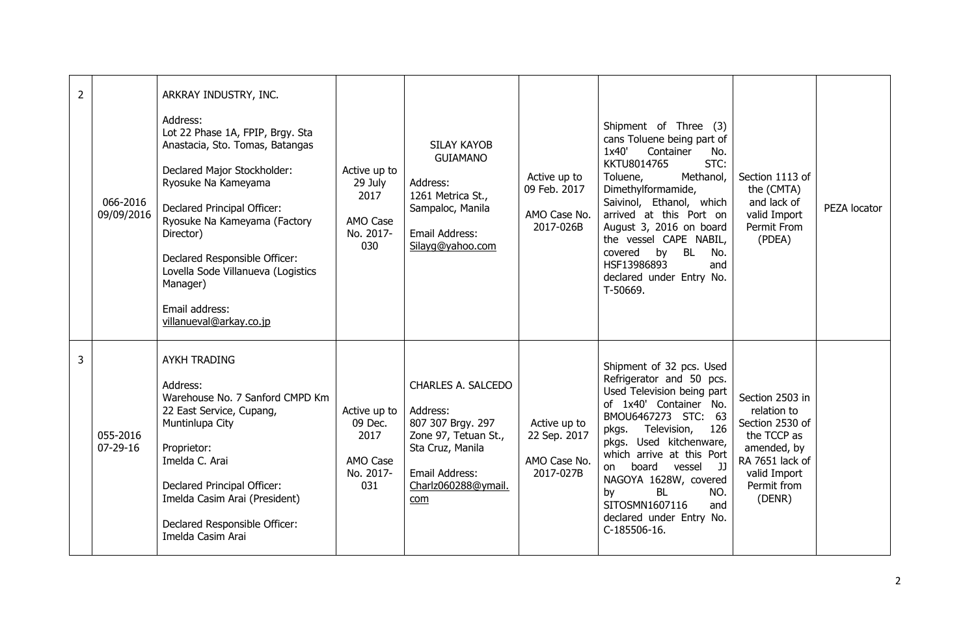| $\overline{2}$ | 066-2016<br>09/09/2016     | ARKRAY INDUSTRY, INC.<br>Address:<br>Lot 22 Phase 1A, FPIP, Brgy. Sta<br>Anastacia, Sto. Tomas, Batangas<br>Declared Major Stockholder:<br>Ryosuke Na Kameyama<br>Declared Principal Officer:<br>Ryosuke Na Kameyama (Factory<br>Director)<br>Declared Responsible Officer:<br>Lovella Sode Villanueva (Logistics<br>Manager)<br>Email address:<br>villanueval@arkay.co.jp | Active up to<br>29 July<br>2017<br>AMO Case<br>No. 2017-<br>030 | <b>SILAY KAYOB</b><br><b>GUIAMANO</b><br>Address:<br>1261 Metrica St.,<br>Sampaloc, Manila<br>Email Address:<br>Silayq@yahoo.com                | Active up to<br>09 Feb. 2017<br>AMO Case No.<br>2017-026B | Shipment of Three (3)<br>cans Toluene being part of<br>1x40'<br>Container<br>No.<br>STC:<br>KKTU8014765<br>Methanol,<br>Toluene,<br>Dimethylformamide,<br>Saivinol, Ethanol, which<br>arrived at this Port on<br>August 3, 2016 on board<br>the vessel CAPE NABIL,<br>covered by BL<br>No.<br>HSF13986893<br>and<br>declared under Entry No.<br>T-50669.                 | Section 1113 of<br>the (CMTA)<br>and lack of<br>valid Import<br>Permit From<br>(PDEA)                                                       | PEZA locator |
|----------------|----------------------------|----------------------------------------------------------------------------------------------------------------------------------------------------------------------------------------------------------------------------------------------------------------------------------------------------------------------------------------------------------------------------|-----------------------------------------------------------------|-------------------------------------------------------------------------------------------------------------------------------------------------|-----------------------------------------------------------|--------------------------------------------------------------------------------------------------------------------------------------------------------------------------------------------------------------------------------------------------------------------------------------------------------------------------------------------------------------------------|---------------------------------------------------------------------------------------------------------------------------------------------|--------------|
| 3              | 055-2016<br>$07 - 29 - 16$ | <b>AYKH TRADING</b><br>Address:<br>Warehouse No. 7 Sanford CMPD Km<br>22 East Service, Cupang,<br>Muntinlupa City<br>Proprietor:<br>Imelda C. Arai<br>Declared Principal Officer:<br>Imelda Casim Arai (President)<br>Declared Responsible Officer:<br>Imelda Casim Arai                                                                                                   | Active up to<br>09 Dec.<br>2017<br>AMO Case<br>No. 2017-<br>031 | CHARLES A. SALCEDO<br>Address:<br>807 307 Brgy. 297<br>Zone 97, Tetuan St.,<br>Sta Cruz, Manila<br>Email Address:<br>Charlz060288@ymail.<br>com | Active up to<br>22 Sep. 2017<br>AMO Case No.<br>2017-027B | Shipment of 32 pcs. Used<br>Refrigerator and 50 pcs.<br>Used Television being part<br>of 1x40' Container No.<br>BMOU6467273 STC: 63<br>pkgs. Television,<br>126<br>pkgs. Used kitchenware,<br>which arrive at this Port<br>board vessel JJ<br>on<br>NAGOYA 1628W, covered<br><b>BL</b><br>NO.<br>by<br>SITOSMN1607116<br>and<br>declared under Entry No.<br>C-185506-16. | Section 2503 in<br>relation to<br>Section 2530 of<br>the TCCP as<br>amended, by<br>RA 7651 lack of<br>valid Import<br>Permit from<br>(DENR) |              |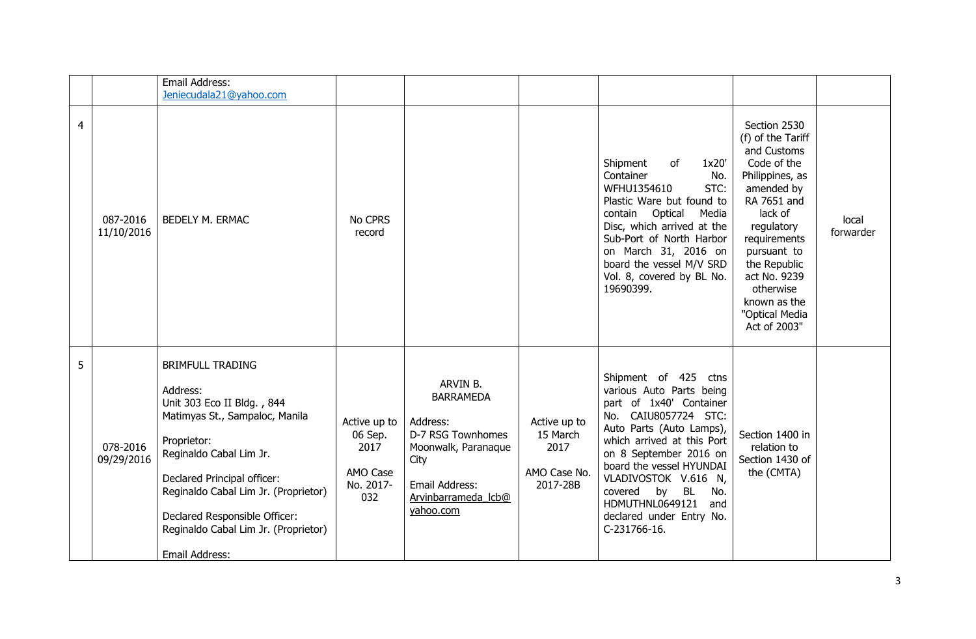|                |                        | Email Address:<br>Jeniecudala21@yahoo.com                                                                                                                                                                                                                                                                       |                                                                 |                                                                                                                                                    |                                                              |                                                                                                                                                                                                                                                                                                                                           |                                                                                                                                                                                                                                                                        |                    |
|----------------|------------------------|-----------------------------------------------------------------------------------------------------------------------------------------------------------------------------------------------------------------------------------------------------------------------------------------------------------------|-----------------------------------------------------------------|----------------------------------------------------------------------------------------------------------------------------------------------------|--------------------------------------------------------------|-------------------------------------------------------------------------------------------------------------------------------------------------------------------------------------------------------------------------------------------------------------------------------------------------------------------------------------------|------------------------------------------------------------------------------------------------------------------------------------------------------------------------------------------------------------------------------------------------------------------------|--------------------|
| $\overline{4}$ | 087-2016<br>11/10/2016 | <b>BEDELY M. ERMAC</b>                                                                                                                                                                                                                                                                                          | No CPRS<br>record                                               |                                                                                                                                                    |                                                              | Shipment<br>of<br>1x20'<br>Container<br>No.<br>WFHU1354610<br>STC:<br>Plastic Ware but found to<br>contain Optical<br>Media<br>Disc, which arrived at the<br>Sub-Port of North Harbor<br>on March 31, 2016 on<br>board the vessel M/V SRD<br>Vol. 8, covered by BL No.<br>19690399.                                                       | Section 2530<br>(f) of the Tariff<br>and Customs<br>Code of the<br>Philippines, as<br>amended by<br>RA 7651 and<br>lack of<br>regulatory<br>requirements<br>pursuant to<br>the Republic<br>act No. 9239<br>otherwise<br>known as the<br>"Optical Media<br>Act of 2003" | local<br>forwarder |
| 5              | 078-2016<br>09/29/2016 | <b>BRIMFULL TRADING</b><br>Address:<br>Unit 303 Eco II Bldg., 844<br>Matimyas St., Sampaloc, Manila<br>Proprietor:<br>Reginaldo Cabal Lim Jr.<br>Declared Principal officer:<br>Reginaldo Cabal Lim Jr. (Proprietor)<br>Declared Responsible Officer:<br>Reginaldo Cabal Lim Jr. (Proprietor)<br>Email Address: | Active up to<br>06 Sep.<br>2017<br>AMO Case<br>No. 2017-<br>032 | ARVIN B.<br><b>BARRAMEDA</b><br>Address:<br>D-7 RSG Townhomes<br>Moonwalk, Paranaque<br>City<br>Email Address:<br>Arvinbarrameda Icb@<br>yahoo.com | Active up to<br>15 March<br>2017<br>AMO Case No.<br>2017-28B | Shipment of 425 ctns<br>various Auto Parts being<br>part of 1x40' Container<br>No. CAIU8057724 STC:<br>Auto Parts (Auto Lamps),<br>which arrived at this Port<br>on 8 September 2016 on<br>board the vessel HYUNDAI<br>VLADIVOSTOK V.616 N,<br>covered by BL<br>No.<br>HDMUTHNL0649121<br>and<br>declared under Entry No.<br>C-231766-16. | Section 1400 in<br>relation to<br>Section 1430 of<br>the (CMTA)                                                                                                                                                                                                        |                    |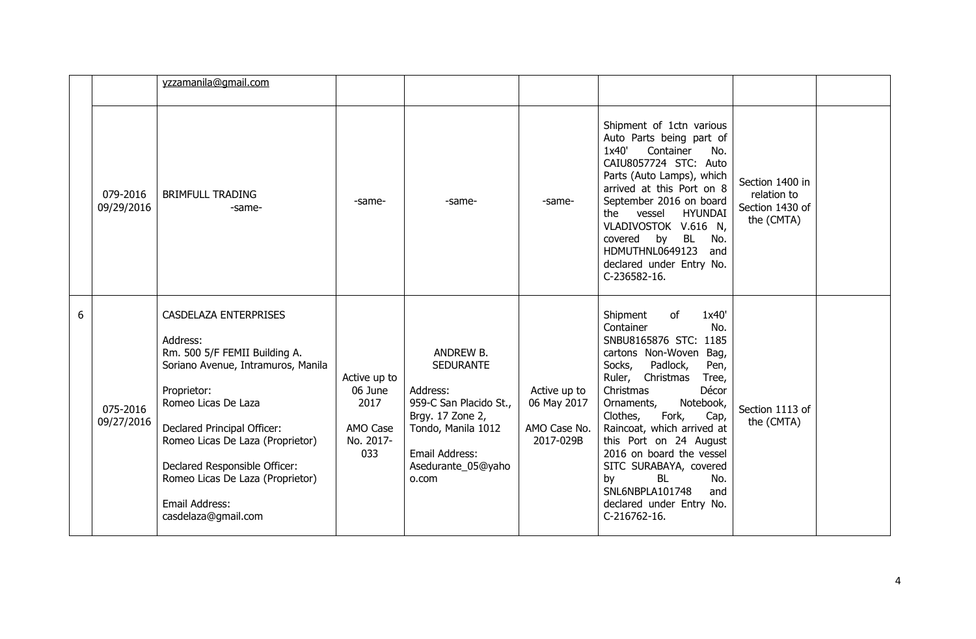|   |                        | yzzamanila@gmail.com                                                                                                                                                                                                                                                                                                            |                                                                 |                                                                                                                                                                |                                                          |                                                                                                                                                                                                                                                                                                                                                                                                                                                          |                                                                 |  |
|---|------------------------|---------------------------------------------------------------------------------------------------------------------------------------------------------------------------------------------------------------------------------------------------------------------------------------------------------------------------------|-----------------------------------------------------------------|----------------------------------------------------------------------------------------------------------------------------------------------------------------|----------------------------------------------------------|----------------------------------------------------------------------------------------------------------------------------------------------------------------------------------------------------------------------------------------------------------------------------------------------------------------------------------------------------------------------------------------------------------------------------------------------------------|-----------------------------------------------------------------|--|
|   | 079-2016<br>09/29/2016 | <b>BRIMFULL TRADING</b><br>-same-                                                                                                                                                                                                                                                                                               | -same-                                                          | -same-                                                                                                                                                         | -same-                                                   | Shipment of 1ctn various<br>Auto Parts being part of<br>1x40'<br>Container<br>No.<br>CAIU8057724 STC: Auto<br>Parts (Auto Lamps), which<br>arrived at this Port on 8<br>September 2016 on board<br>the vessel<br><b>HYUNDAI</b><br>VLADIVOSTOK V.616 N,<br>covered<br>by BL<br>No.<br>HDMUTHNL0649123<br>and<br>declared under Entry No.<br>C-236582-16.                                                                                                 | Section 1400 in<br>relation to<br>Section 1430 of<br>the (CMTA) |  |
| 6 | 075-2016<br>09/27/2016 | CASDELAZA ENTERPRISES<br>Address:<br>Rm. 500 5/F FEMII Building A.<br>Soriano Avenue, Intramuros, Manila<br>Proprietor:<br>Romeo Licas De Laza<br>Declared Principal Officer:<br>Romeo Licas De Laza (Proprietor)<br>Declared Responsible Officer:<br>Romeo Licas De Laza (Proprietor)<br>Email Address:<br>casdelaza@gmail.com | Active up to<br>06 June<br>2017<br>AMO Case<br>No. 2017-<br>033 | ANDREW B.<br><b>SEDURANTE</b><br>Address:<br>959-C San Placido St.,<br>Brgy. 17 Zone 2,<br>Tondo, Manila 1012<br>Email Address:<br>Asedurante_05@yaho<br>o.com | Active up to<br>06 May 2017<br>AMO Case No.<br>2017-029B | 1x40'<br>Shipment<br>of<br>Container<br>No.<br>SNBU8165876 STC: 1185<br>cartons Non-Woven<br>Bag,<br>Socks,<br>Padlock,<br>Pen,<br>Ruler, Christmas<br>Tree,<br>Christmas<br>Décor<br>Ornaments,<br>Notebook,<br>Fork,<br>Clothes,<br>Cap,<br>Raincoat, which arrived at<br>this Port on 24 August<br>2016 on board the vessel<br>SITC SURABAYA, covered<br>by<br><b>BL</b><br>No.<br>SNL6NBPLA101748<br>and<br>declared under Entry No.<br>C-216762-16. | Section 1113 of<br>the (CMTA)                                   |  |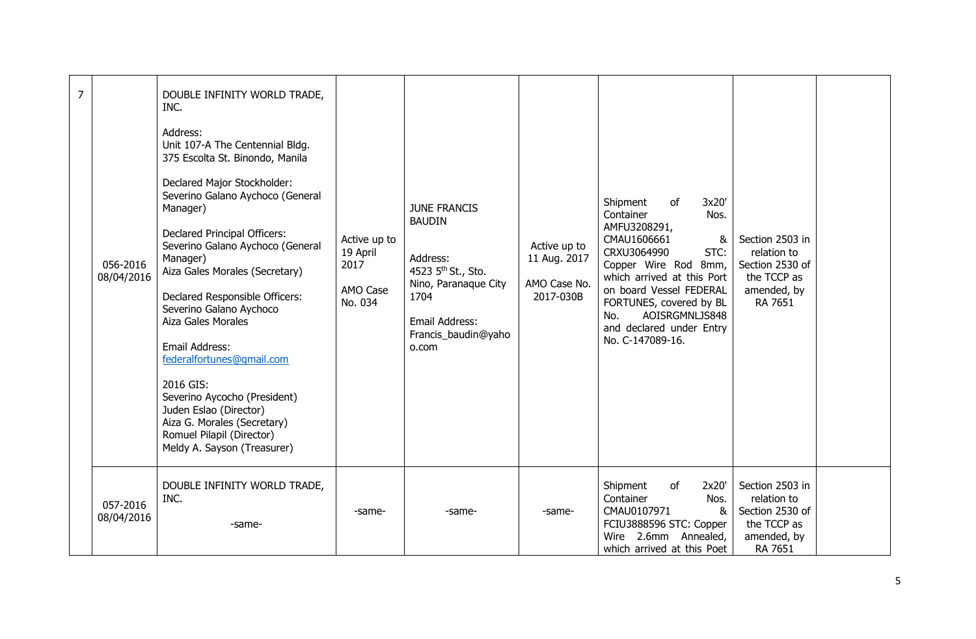| $\overline{7}$ | 056-2016<br>08/04/2016 | DOUBLE INFINITY WORLD TRADE,<br>INC.<br>Address:<br>Unit 107-A The Centennial Bldg.<br>375 Escolta St. Binondo, Manila<br>Declared Major Stockholder:<br>Severino Galano Aychoco (General<br>Manager)<br>Declared Principal Officers:<br>Severino Galano Aychoco (General<br>Manager)<br>Aiza Gales Morales (Secretary)<br>Declared Responsible Officers:<br>Severino Galano Aychoco<br>Aiza Gales Morales<br>Email Address:<br>federalfortunes@gmail.com<br>2016 GIS:<br>Severino Aycocho (President)<br>Juden Eslao (Director)<br>Aiza G. Morales (Secretary)<br>Romuel Pilapil (Director)<br>Meldy A. Sayson (Treasurer) | Active up to<br>19 April<br>2017<br>AMO Case<br>No. 034 | <b>JUNE FRANCIS</b><br><b>BAUDIN</b><br>Address:<br>4523 5 <sup>th</sup> St., Sto.<br>Nino, Paranaque City<br>1704<br>Email Address:<br>Francis_baudin@yaho<br>o.com | Active up to<br>11 Aug. 2017<br>AMO Case No.<br>2017-030B | Shipment<br>of<br>3x20'<br>Container<br>Nos.<br>AMFU3208291,<br>CMAU1606661<br>&<br>CRXU3064990<br>STC:<br>Copper Wire Rod 8mm,<br>which arrived at this Port<br>on board Vessel FEDERAL<br>FORTUNES, covered by BL<br>AOISRGMNLJS848<br>No.<br>and declared under Entry<br>No. C-147089-16. | Section 2503 in<br>relation to<br>Section 2530 of<br>the TCCP as<br>amended, by<br>RA 7651 |  |
|----------------|------------------------|-----------------------------------------------------------------------------------------------------------------------------------------------------------------------------------------------------------------------------------------------------------------------------------------------------------------------------------------------------------------------------------------------------------------------------------------------------------------------------------------------------------------------------------------------------------------------------------------------------------------------------|---------------------------------------------------------|----------------------------------------------------------------------------------------------------------------------------------------------------------------------|-----------------------------------------------------------|----------------------------------------------------------------------------------------------------------------------------------------------------------------------------------------------------------------------------------------------------------------------------------------------|--------------------------------------------------------------------------------------------|--|
|                | 057-2016<br>08/04/2016 | DOUBLE INFINITY WORLD TRADE,<br>INC.<br>-same-                                                                                                                                                                                                                                                                                                                                                                                                                                                                                                                                                                              | -same-                                                  | -same-                                                                                                                                                               | -same-                                                    | Shipment<br>2x20'<br>of<br>Container<br>Nos.<br>CMAU0107971<br>&<br>FCIU3888596 STC: Copper<br>Wire 2.6mm Annealed,<br>which arrived at this Poet                                                                                                                                            | Section 2503 in<br>relation to<br>Section 2530 of<br>the TCCP as<br>amended, by<br>RA 7651 |  |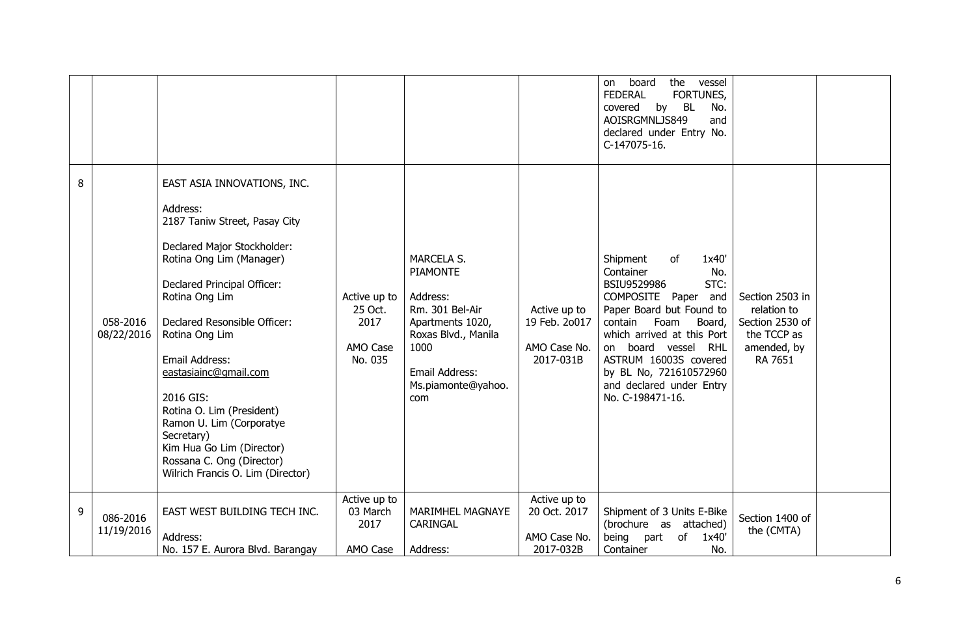|   |                        |                                                                                                                                                                                                                                                                                                                                                                                                                                                                      |                                                        |                                                                                                                                                                       |                                                            | the<br>board<br>vessel<br>on.<br><b>FEDERAL</b><br>FORTUNES,<br>covered<br>by BL<br>No.<br>AOISRGMNLJS849<br>and<br>declared under Entry No.<br>C-147075-16.                                                                                                                                                  |                                                                                            |  |
|---|------------------------|----------------------------------------------------------------------------------------------------------------------------------------------------------------------------------------------------------------------------------------------------------------------------------------------------------------------------------------------------------------------------------------------------------------------------------------------------------------------|--------------------------------------------------------|-----------------------------------------------------------------------------------------------------------------------------------------------------------------------|------------------------------------------------------------|---------------------------------------------------------------------------------------------------------------------------------------------------------------------------------------------------------------------------------------------------------------------------------------------------------------|--------------------------------------------------------------------------------------------|--|
| 8 | 058-2016<br>08/22/2016 | EAST ASIA INNOVATIONS, INC.<br>Address:<br>2187 Taniw Street, Pasay City<br>Declared Major Stockholder:<br>Rotina Ong Lim (Manager)<br>Declared Principal Officer:<br>Rotina Ong Lim<br>Declared Resonsible Officer:<br>Rotina Ong Lim<br>Email Address:<br>eastasiainc@gmail.com<br>2016 GIS:<br>Rotina O. Lim (President)<br>Ramon U. Lim (Corporatye<br>Secretary)<br>Kim Hua Go Lim (Director)<br>Rossana C. Ong (Director)<br>Wilrich Francis O. Lim (Director) | Active up to<br>25 Oct.<br>2017<br>AMO Case<br>No. 035 | <b>MARCELA S.</b><br><b>PIAMONTE</b><br>Address:<br>Rm. 301 Bel-Air<br>Apartments 1020,<br>Roxas Blvd., Manila<br>1000<br>Email Address:<br>Ms.piamonte@yahoo.<br>com | Active up to<br>19 Feb. 20017<br>AMO Case No.<br>2017-031B | Shipment<br>1x40'<br>0f<br>Container<br>No.<br>STC:<br>BSIU9529986<br>COMPOSITE Paper and<br>Paper Board but Found to<br>contain<br>Foam<br>Board,<br>which arrived at this Port<br>board vessel RHL<br>on<br>ASTRUM 16003S covered<br>by BL No, 721610572960<br>and declared under Entry<br>No. C-198471-16. | Section 2503 in<br>relation to<br>Section 2530 of<br>the TCCP as<br>amended, by<br>RA 7651 |  |
| 9 | 086-2016<br>11/19/2016 | EAST WEST BUILDING TECH INC.<br>Address:<br>No. 157 E. Aurora Blvd. Barangay                                                                                                                                                                                                                                                                                                                                                                                         | Active up to<br>03 March<br>2017<br>AMO Case           | MARIMHEL MAGNAYE<br>CARINGAL<br>Address:                                                                                                                              | Active up to<br>20 Oct. 2017<br>AMO Case No.<br>2017-032B  | Shipment of 3 Units E-Bike<br>(brochure as attached)<br>being<br>part<br>of<br>1x40'<br>Container<br>No.                                                                                                                                                                                                      | Section 1400 of<br>the (CMTA)                                                              |  |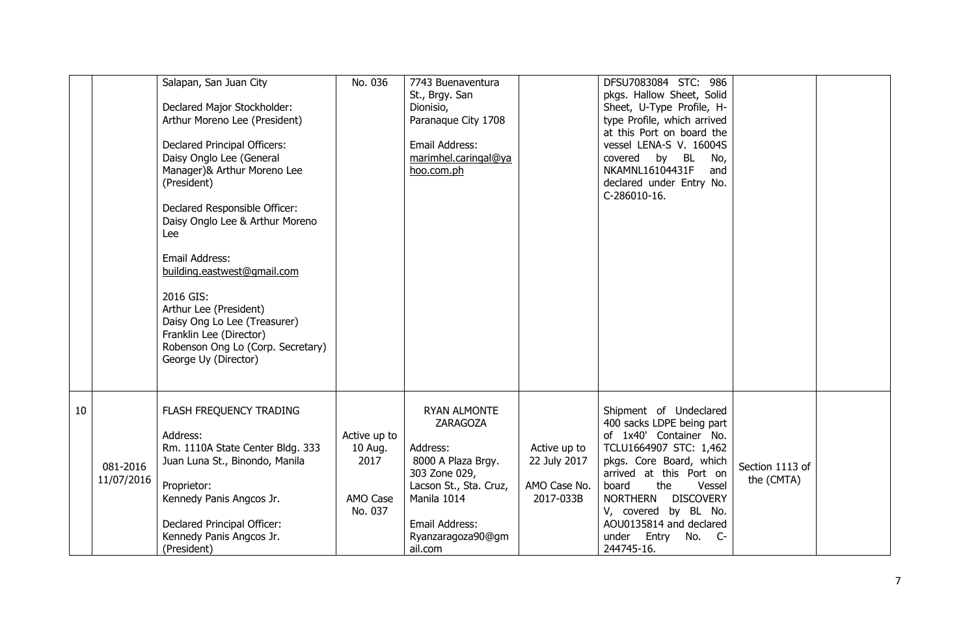|    |                        | Salapan, San Juan City<br>Declared Major Stockholder:<br>Arthur Moreno Lee (President)<br>Declared Principal Officers:<br>Daisy Onglo Lee (General<br>Manager)& Arthur Moreno Lee<br>(President)<br>Declared Responsible Officer:<br>Daisy Onglo Lee & Arthur Moreno<br>Lee<br>Email Address:<br>building.eastwest@gmail.com<br>2016 GIS:<br>Arthur Lee (President)<br>Daisy Ong Lo Lee (Treasurer)<br>Franklin Lee (Director)<br>Robenson Ong Lo (Corp. Secretary)<br>George Uy (Director) | No. 036                                                | 7743 Buenaventura<br>St., Brgy. San<br>Dionisio,<br>Paranaque City 1708<br>Email Address:<br>marimhel.caringal@ya<br>hoo.com.ph                                                      |                                                           | DFSU7083084 STC: 986<br>pkgs. Hallow Sheet, Solid<br>Sheet, U-Type Profile, H-<br>type Profile, which arrived<br>at this Port on board the<br>vessel LENA-S V. 16004S<br>covered<br>by BL<br>No,<br>NKAMNL16104431F<br>and<br>declared under Entry No.<br>C-286010-16.                                                   |                               |  |
|----|------------------------|---------------------------------------------------------------------------------------------------------------------------------------------------------------------------------------------------------------------------------------------------------------------------------------------------------------------------------------------------------------------------------------------------------------------------------------------------------------------------------------------|--------------------------------------------------------|--------------------------------------------------------------------------------------------------------------------------------------------------------------------------------------|-----------------------------------------------------------|--------------------------------------------------------------------------------------------------------------------------------------------------------------------------------------------------------------------------------------------------------------------------------------------------------------------------|-------------------------------|--|
| 10 | 081-2016<br>11/07/2016 | FLASH FREQUENCY TRADING<br>Address:<br>Rm. 1110A State Center Bldg. 333<br>Juan Luna St., Binondo, Manila<br>Proprietor:<br>Kennedy Panis Angcos Jr.<br>Declared Principal Officer:<br>Kennedy Panis Angcos Jr.<br>(President)                                                                                                                                                                                                                                                              | Active up to<br>10 Aug.<br>2017<br>AMO Case<br>No. 037 | <b>RYAN ALMONTE</b><br><b>ZARAGOZA</b><br>Address:<br>8000 A Plaza Brgy.<br>303 Zone 029,<br>Lacson St., Sta. Cruz,<br>Manila 1014<br>Email Address:<br>Ryanzaragoza90@gm<br>ail.com | Active up to<br>22 July 2017<br>AMO Case No.<br>2017-033B | Shipment of Undeclared<br>400 sacks LDPE being part<br>of 1x40' Container No.<br>TCLU1664907 STC: 1,462<br>pkgs. Core Board, which<br>arrived at this Port on<br>board<br>the<br>Vessel<br><b>NORTHERN</b><br><b>DISCOVERY</b><br>V, covered by BL No.<br>AOU0135814 and declared<br>under<br>Entry No. C-<br>244745-16. | Section 1113 of<br>the (CMTA) |  |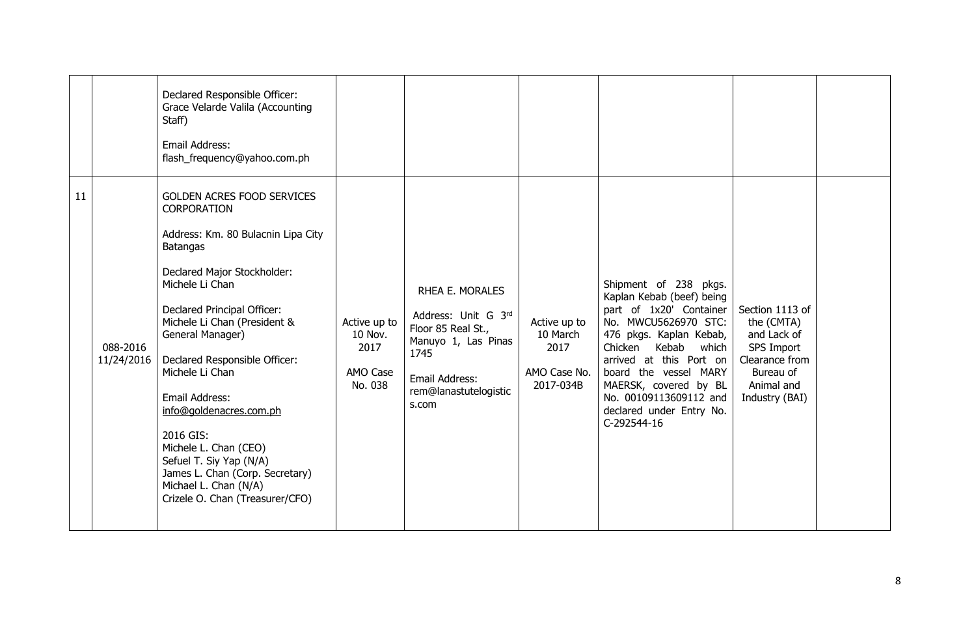|    |                        | Declared Responsible Officer:<br>Grace Velarde Valila (Accounting<br>Staff)<br>Email Address:<br>flash_frequency@yahoo.com.ph                                                                                                                                                                                                                                                                                                                                                                            |                                                        |                                                                                                                                                 |                                                               |                                                                                                                                                                                                                                                                                                                 |                                                                                                                           |  |
|----|------------------------|----------------------------------------------------------------------------------------------------------------------------------------------------------------------------------------------------------------------------------------------------------------------------------------------------------------------------------------------------------------------------------------------------------------------------------------------------------------------------------------------------------|--------------------------------------------------------|-------------------------------------------------------------------------------------------------------------------------------------------------|---------------------------------------------------------------|-----------------------------------------------------------------------------------------------------------------------------------------------------------------------------------------------------------------------------------------------------------------------------------------------------------------|---------------------------------------------------------------------------------------------------------------------------|--|
| 11 | 088-2016<br>11/24/2016 | GOLDEN ACRES FOOD SERVICES<br>CORPORATION<br>Address: Km. 80 Bulacnin Lipa City<br><b>Batangas</b><br>Declared Major Stockholder:<br>Michele Li Chan<br>Declared Principal Officer:<br>Michele Li Chan (President &<br>General Manager)<br>Declared Responsible Officer:<br>Michele Li Chan<br>Email Address:<br>info@goldenacres.com.ph<br>2016 GIS:<br>Michele L. Chan (CEO)<br>Sefuel T. Siy Yap (N/A)<br>James L. Chan (Corp. Secretary)<br>Michael L. Chan (N/A)<br>Crizele O. Chan (Treasurer/CFO) | Active up to<br>10 Nov.<br>2017<br>AMO Case<br>No. 038 | RHEA E. MORALES<br>Address: Unit G 3rd<br>Floor 85 Real St.,<br>Manuyo 1, Las Pinas<br>1745<br>Email Address:<br>rem@lanastutelogistic<br>s.com | Active up to<br>10 March<br>2017<br>AMO Case No.<br>2017-034B | Shipment of 238 pkgs.<br>Kaplan Kebab (beef) being<br>part of 1x20' Container<br>No. MWCU5626970 STC:<br>476 pkgs. Kaplan Kebab,<br>Chicken<br>Kebab<br>which<br>arrived at this Port on<br>board the vessel MARY<br>MAERSK, covered by BL<br>No. 00109113609112 and<br>declared under Entry No.<br>C-292544-16 | Section 1113 of<br>the (CMTA)<br>and Lack of<br>SPS Import<br>Clearance from<br>Bureau of<br>Animal and<br>Industry (BAI) |  |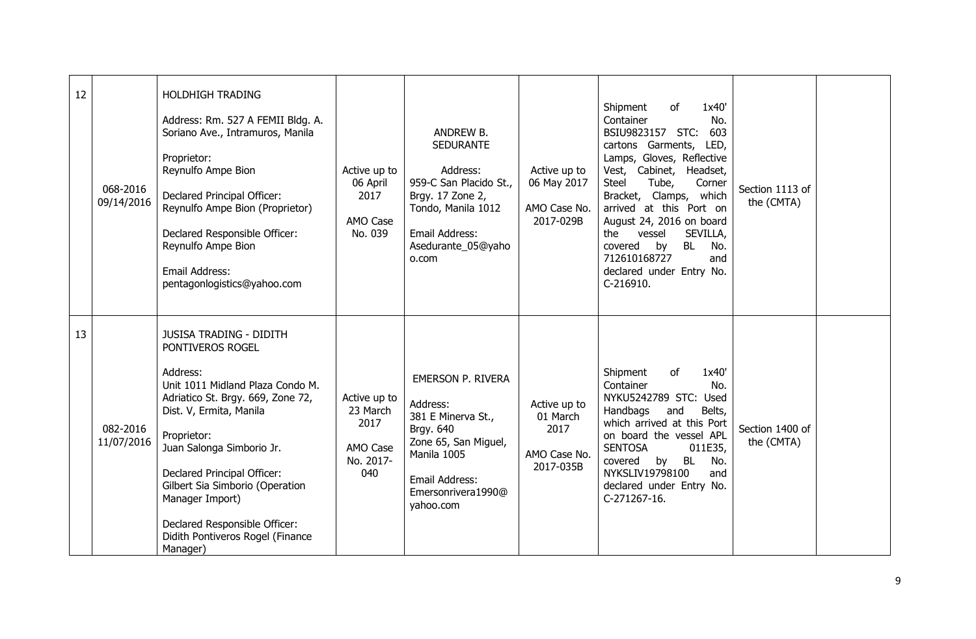| 12 | 068-2016<br>09/14/2016 | <b>HOLDHIGH TRADING</b><br>Address: Rm. 527 A FEMII Bldg. A.<br>Soriano Ave., Intramuros, Manila<br>Proprietor:<br>Reynulfo Ampe Bion<br>Declared Principal Officer:<br>Reynulfo Ampe Bion (Proprietor)<br>Declared Responsible Officer:<br>Reynulfo Ampe Bion<br>Email Address:<br>pentagonlogistics@yahoo.com                                                                      | Active up to<br>06 April<br>2017<br>AMO Case<br>No. 039          | ANDREW B.<br><b>SEDURANTE</b><br>Address:<br>959-C San Placido St.,<br>Brgy. 17 Zone 2,<br>Tondo, Manila 1012<br>Email Address:<br>Asedurante_05@yaho<br>o.com      | Active up to<br>06 May 2017<br>AMO Case No.<br>2017-029B      | 1x40'<br>Shipment<br>of<br>Container<br>No.<br>603<br>BSIU9823157 STC:<br>cartons Garments, LED,<br>Lamps, Gloves, Reflective<br>Vest, Cabinet, Headset,<br>Tube,<br><b>Steel</b><br>Corner<br>Bracket, Clamps, which<br>arrived at this Port on<br>August 24, 2016 on board<br>the<br>vessel<br>SEVILLA,<br>covered<br><b>BL</b><br>No.<br>by<br>712610168727<br>and<br>declared under Entry No.<br>C-216910. | Section 1113 of<br>the (CMTA) |  |
|----|------------------------|--------------------------------------------------------------------------------------------------------------------------------------------------------------------------------------------------------------------------------------------------------------------------------------------------------------------------------------------------------------------------------------|------------------------------------------------------------------|---------------------------------------------------------------------------------------------------------------------------------------------------------------------|---------------------------------------------------------------|----------------------------------------------------------------------------------------------------------------------------------------------------------------------------------------------------------------------------------------------------------------------------------------------------------------------------------------------------------------------------------------------------------------|-------------------------------|--|
| 13 | 082-2016<br>11/07/2016 | <b>JUSISA TRADING - DIDITH</b><br>PONTIVEROS ROGEL<br>Address:<br>Unit 1011 Midland Plaza Condo M.<br>Adriatico St. Brgy. 669, Zone 72,<br>Dist. V, Ermita, Manila<br>Proprietor:<br>Juan Salonga Simborio Jr.<br>Declared Principal Officer:<br>Gilbert Sia Simborio (Operation<br>Manager Import)<br>Declared Responsible Officer:<br>Didith Pontiveros Rogel (Finance<br>Manager) | Active up to<br>23 March<br>2017<br>AMO Case<br>No. 2017-<br>040 | <b>EMERSON P. RIVERA</b><br>Address:<br>381 E Minerva St.,<br>Brgy. 640<br>Zone 65, San Miguel,<br>Manila 1005<br>Email Address:<br>Emersonrivera1990@<br>yahoo.com | Active up to<br>01 March<br>2017<br>AMO Case No.<br>2017-035B | of<br>1x40'<br>Shipment<br>Container<br>No.<br>NYKU5242789 STC:<br>Used<br>Handbags<br>and<br>Belts,<br>which arrived at this Port<br>on board the vessel APL<br><b>SENTOSA</b><br>011E35,<br>covered<br>by<br>No.<br>BL<br>NYKSLIV19798100<br>and<br>declared under Entry No.<br>C-271267-16.                                                                                                                 | Section 1400 of<br>the (CMTA) |  |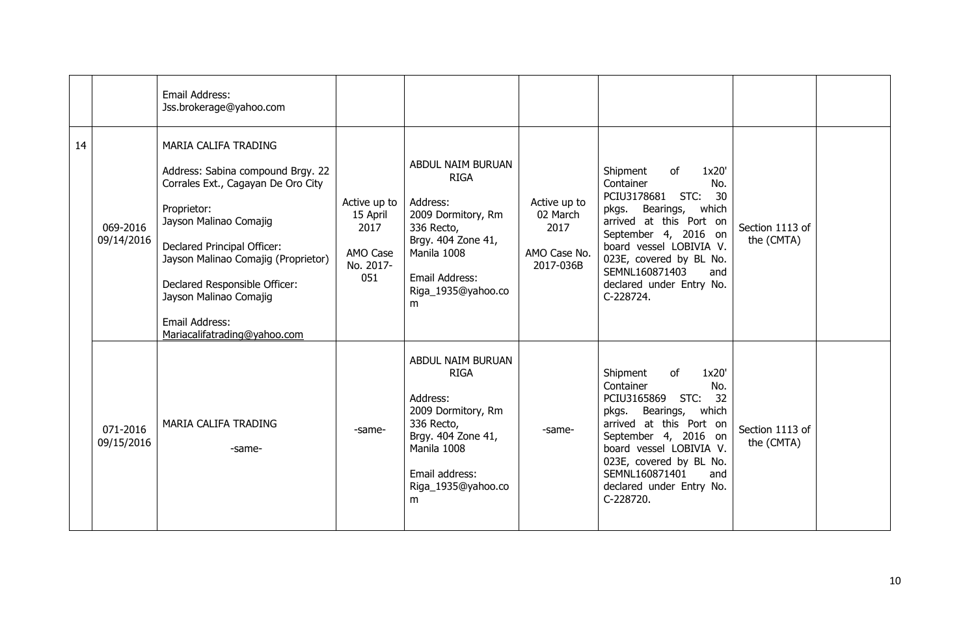|    |                        | Email Address:<br>Jss.brokerage@yahoo.com                                                                                                                                                                                                                                                                                   |                                                                  |                                                                                                                                                                    |                                                               |                                                                                                                                                                                                                                                                                    |                               |  |
|----|------------------------|-----------------------------------------------------------------------------------------------------------------------------------------------------------------------------------------------------------------------------------------------------------------------------------------------------------------------------|------------------------------------------------------------------|--------------------------------------------------------------------------------------------------------------------------------------------------------------------|---------------------------------------------------------------|------------------------------------------------------------------------------------------------------------------------------------------------------------------------------------------------------------------------------------------------------------------------------------|-------------------------------|--|
| 14 | 069-2016<br>09/14/2016 | MARIA CALIFA TRADING<br>Address: Sabina compound Brgy. 22<br>Corrales Ext., Cagayan De Oro City<br>Proprietor:<br>Jayson Malinao Comajig<br>Declared Principal Officer:<br>Jayson Malinao Comajig (Proprietor)<br>Declared Responsible Officer:<br>Jayson Malinao Comajig<br>Email Address:<br>Mariacalifatrading@yahoo.com | Active up to<br>15 April<br>2017<br>AMO Case<br>No. 2017-<br>051 | ABDUL NAIM BURUAN<br><b>RIGA</b><br>Address:<br>2009 Dormitory, Rm<br>336 Recto,<br>Brgy. 404 Zone 41,<br>Manila 1008<br>Email Address:<br>Riga_1935@yahoo.co<br>m | Active up to<br>02 March<br>2017<br>AMO Case No.<br>2017-036B | Shipment<br>1x20'<br>of<br>Container<br>No.<br>PCIU3178681<br>STC:<br>30<br>Bearings,<br>pkgs.<br>which<br>arrived at this Port on<br>September 4, 2016 on<br>board vessel LOBIVIA V.<br>023E, covered by BL No.<br>SEMNL160871403<br>and<br>declared under Entry No.<br>C-228724. | Section 1113 of<br>the (CMTA) |  |
|    | 071-2016<br>09/15/2016 | MARIA CALIFA TRADING<br>-same-                                                                                                                                                                                                                                                                                              | -same-                                                           | ABDUL NAIM BURUAN<br><b>RIGA</b><br>Address:<br>2009 Dormitory, Rm<br>336 Recto,<br>Brgy. 404 Zone 41,<br>Manila 1008<br>Email address:<br>Riga_1935@yahoo.co<br>m | -same-                                                        | Shipment<br>of<br>1x20'<br>Container<br>No.<br>32<br>PCIU3165869<br>STC:<br>Bearings,<br>which<br>pkgs.<br>arrived at this Port on<br>September 4, 2016 on<br>board vessel LOBIVIA V.<br>023E, covered by BL No.<br>SEMNL160871401<br>and<br>declared under Entry No.<br>C-228720. | Section 1113 of<br>the (CMTA) |  |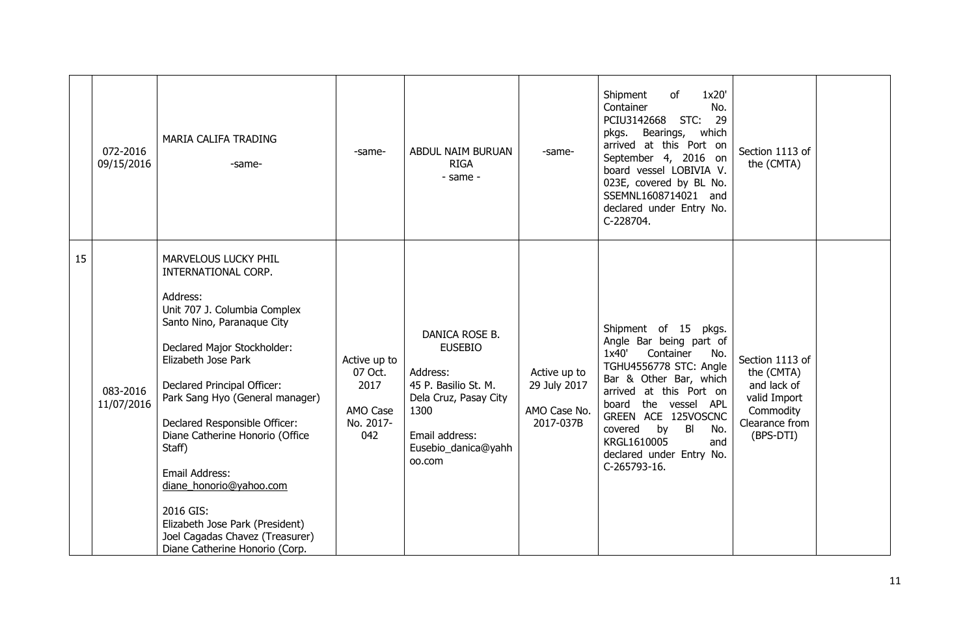|    | 072-2016<br>09/15/2016 | MARIA CALIFA TRADING<br>-same-                                                                                                                                                                                                                                                                                                                                                                                                                                                                | -same-                                                          | ABDUL NAIM BURUAN<br><b>RIGA</b><br>- same -                                                                                                             | -same-                                                    | 1x20'<br>Shipment<br>of<br>Container<br>No.<br>29<br>PCIU3142668<br>STC:<br>pkgs. Bearings, which<br>arrived at this Port on<br>September 4, 2016 on<br>board vessel LOBIVIA V.<br>023E, covered by BL No.<br>SSEMNL1608714021 and<br>declared under Entry No.<br>C-228704.                                | Section 1113 of<br>the (CMTA)                                                                            |  |
|----|------------------------|-----------------------------------------------------------------------------------------------------------------------------------------------------------------------------------------------------------------------------------------------------------------------------------------------------------------------------------------------------------------------------------------------------------------------------------------------------------------------------------------------|-----------------------------------------------------------------|----------------------------------------------------------------------------------------------------------------------------------------------------------|-----------------------------------------------------------|------------------------------------------------------------------------------------------------------------------------------------------------------------------------------------------------------------------------------------------------------------------------------------------------------------|----------------------------------------------------------------------------------------------------------|--|
| 15 | 083-2016<br>11/07/2016 | MARVELOUS LUCKY PHIL<br>INTERNATIONAL CORP.<br>Address:<br>Unit 707 J. Columbia Complex<br>Santo Nino, Paranaque City<br>Declared Major Stockholder:<br>Elizabeth Jose Park<br>Declared Principal Officer:<br>Park Sang Hyo (General manager)<br>Declared Responsible Officer:<br>Diane Catherine Honorio (Office<br>Staff)<br>Email Address:<br>diane honorio@yahoo.com<br>2016 GIS:<br>Elizabeth Jose Park (President)<br>Joel Cagadas Chavez (Treasurer)<br>Diane Catherine Honorio (Corp. | Active up to<br>07 Oct.<br>2017<br>AMO Case<br>No. 2017-<br>042 | DANICA ROSE B.<br><b>EUSEBIO</b><br>Address:<br>45 P. Basilio St. M.<br>Dela Cruz, Pasay City<br>1300<br>Email address:<br>Eusebio_danica@yahh<br>00.com | Active up to<br>29 July 2017<br>AMO Case No.<br>2017-037B | Shipment of 15 pkgs.<br>Angle Bar being part of<br>1x40'<br>Container<br>No.<br>TGHU4556778 STC: Angle<br>Bar & Other Bar, which<br>arrived at this Port on<br>board the vessel APL<br>GREEN ACE 125VOSCNC<br>covered<br>by<br>BI<br>No.<br>KRGL1610005<br>and<br>declared under Entry No.<br>C-265793-16. | Section 1113 of<br>the (CMTA)<br>and lack of<br>valid Import<br>Commodity<br>Clearance from<br>(BPS-DTI) |  |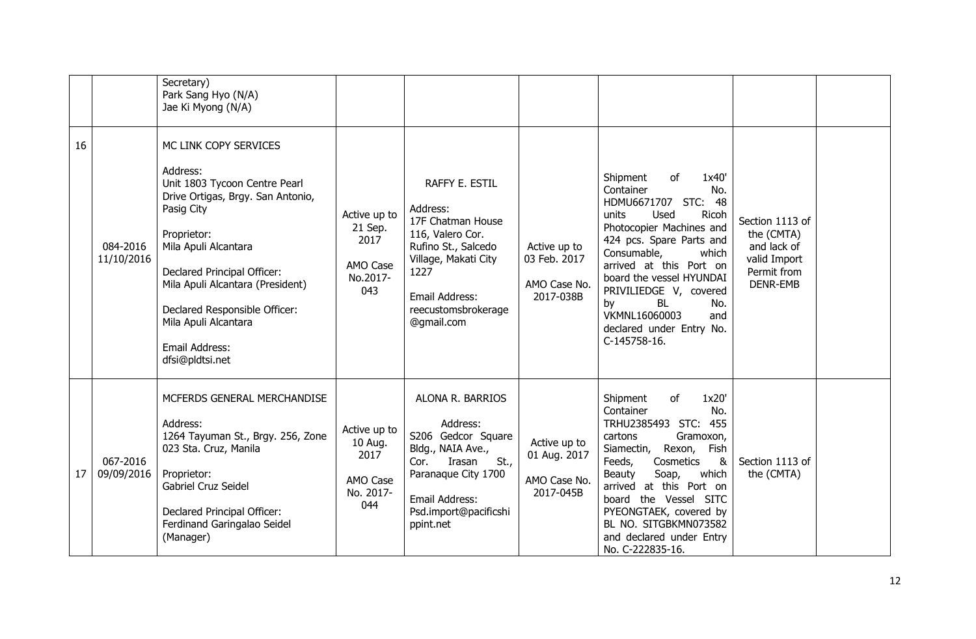|    |                        | Secretary)<br>Park Sang Hyo (N/A)<br>Jae Ki Myong (N/A)                                                                                                                                                                                                                                                                       |                                                                 |                                                                                                                                                                                   |                                                           |                                                                                                                                                                                                                                                                                                                                                                |                                                                                                |  |
|----|------------------------|-------------------------------------------------------------------------------------------------------------------------------------------------------------------------------------------------------------------------------------------------------------------------------------------------------------------------------|-----------------------------------------------------------------|-----------------------------------------------------------------------------------------------------------------------------------------------------------------------------------|-----------------------------------------------------------|----------------------------------------------------------------------------------------------------------------------------------------------------------------------------------------------------------------------------------------------------------------------------------------------------------------------------------------------------------------|------------------------------------------------------------------------------------------------|--|
| 16 | 084-2016<br>11/10/2016 | MC LINK COPY SERVICES<br>Address:<br>Unit 1803 Tycoon Centre Pearl<br>Drive Ortigas, Brgy. San Antonio,<br>Pasig City<br>Proprietor:<br>Mila Apuli Alcantara<br>Declared Principal Officer:<br>Mila Apuli Alcantara (President)<br>Declared Responsible Officer:<br>Mila Apuli Alcantara<br>Email Address:<br>dfsi@pldtsi.net | Active up to<br>21 Sep.<br>2017<br>AMO Case<br>No.2017-<br>043  | RAFFY E. ESTIL<br>Address:<br>17F Chatman House<br>116, Valero Cor.<br>Rufino St., Salcedo<br>Village, Makati City<br>1227<br>Email Address:<br>reecustomsbrokerage<br>@gmail.com | Active up to<br>03 Feb. 2017<br>AMO Case No.<br>2017-038B | Shipment<br>of<br>1x40'<br>Container<br>No.<br>HDMU6671707 STC:<br>48<br>Used<br>Ricoh<br>units<br>Photocopier Machines and<br>424 pcs. Spare Parts and<br>Consumable,<br>which<br>arrived at this Port on<br>board the vessel HYUNDAI<br>PRIVILIEDGE V, covered<br><b>BL</b><br>by<br>No.<br>VKMNL16060003<br>and<br>declared under Entry No.<br>C-145758-16. | Section 1113 of<br>the (CMTA)<br>and lack of<br>valid Import<br>Permit from<br><b>DENR-EMB</b> |  |
| 17 | 067-2016<br>09/09/2016 | MCFERDS GENERAL MERCHANDISE<br>Address:<br>1264 Tayuman St., Brgy. 256, Zone<br>023 Sta. Cruz, Manila<br>Proprietor:<br>Gabriel Cruz Seidel<br>Declared Principal Officer:<br>Ferdinand Garingalao Seidel<br>(Manager)                                                                                                        | Active up to<br>10 Aug.<br>2017<br>AMO Case<br>No. 2017-<br>044 | ALONA R. BARRIOS<br>Address:<br>S206 Gedcor Square<br>Bldg., NAIA Ave.,<br>Irasan<br>St.,<br>Cor.<br>Paranaque City 1700<br>Email Address:<br>Psd.import@pacificshi<br>ppint.net  | Active up to<br>01 Aug. 2017<br>AMO Case No.<br>2017-045B | 1x20'<br>Shipment<br>of<br>Container<br>No.<br>TRHU2385493 STC: 455<br>Gramoxon,<br>cartons<br>Siamectin,<br>Rexon, Fish<br>Cosmetics<br>Feeds,<br>&<br>Soap,<br>which<br>Beauty<br>arrived at this Port on<br>board the Vessel SITC<br>PYEONGTAEK, covered by<br>BL NO. SITGBKMN073582<br>and declared under Entry<br>No. C-222835-16.                        | Section 1113 of<br>the (CMTA)                                                                  |  |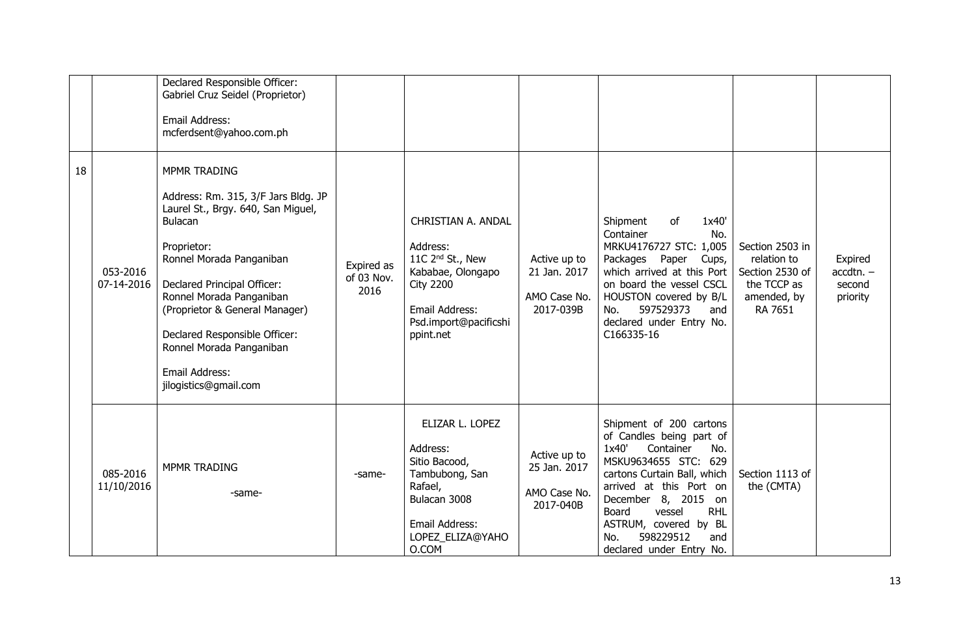|    |                        | Declared Responsible Officer:<br>Gabriel Cruz Seidel (Proprietor)<br>Email Address:<br>mcferdsent@yahoo.com.ph                                                                                                                                                                                                                                                            |                                  |                                                                                                                                                                 |                                                           |                                                                                                                                                                                                                                                                                                            |                                                                                            |                                              |
|----|------------------------|---------------------------------------------------------------------------------------------------------------------------------------------------------------------------------------------------------------------------------------------------------------------------------------------------------------------------------------------------------------------------|----------------------------------|-----------------------------------------------------------------------------------------------------------------------------------------------------------------|-----------------------------------------------------------|------------------------------------------------------------------------------------------------------------------------------------------------------------------------------------------------------------------------------------------------------------------------------------------------------------|--------------------------------------------------------------------------------------------|----------------------------------------------|
| 18 | 053-2016<br>07-14-2016 | <b>MPMR TRADING</b><br>Address: Rm. 315, 3/F Jars Bldg. JP<br>Laurel St., Brgy. 640, San Miguel,<br><b>Bulacan</b><br>Proprietor:<br>Ronnel Morada Panganiban<br>Declared Principal Officer:<br>Ronnel Morada Panganiban<br>(Proprietor & General Manager)<br>Declared Responsible Officer:<br>Ronnel Morada Panganiban<br><b>Email Address:</b><br>jilogistics@gmail.com | Expired as<br>of 03 Nov.<br>2016 | CHRISTIAN A. ANDAL<br>Address:<br>11C 2 <sup>nd</sup> St., New<br>Kababae, Olongapo<br><b>City 2200</b><br>Email Address:<br>Psd.import@pacificshi<br>ppint.net | Active up to<br>21 Jan. 2017<br>AMO Case No.<br>2017-039B | 1x40'<br>Shipment<br>of<br>Container<br>No.<br>MRKU4176727 STC: 1,005<br>Packages Paper<br>Cups,<br>which arrived at this Port<br>on board the vessel CSCL<br>HOUSTON covered by B/L<br>597529373<br>No.<br>and<br>declared under Entry No.<br>C166335-16                                                  | Section 2503 in<br>relation to<br>Section 2530 of<br>the TCCP as<br>amended, by<br>RA 7651 | Expired<br>$accdtn. -$<br>second<br>priority |
|    | 085-2016<br>11/10/2016 | <b>MPMR TRADING</b><br>-same-                                                                                                                                                                                                                                                                                                                                             | -same-                           | ELIZAR L. LOPEZ<br>Address:<br>Sitio Bacood,<br>Tambubong, San<br>Rafael,<br>Bulacan 3008<br>Email Address:<br>LOPEZ_ELIZA@YAHO<br>O.COM                        | Active up to<br>25 Jan. 2017<br>AMO Case No.<br>2017-040B | Shipment of 200 cartons<br>of Candles being part of<br>1x40'<br>Container<br>No.<br>MSKU9634655 STC: 629<br>cartons Curtain Ball, which<br>arrived at this Port on<br>December 8, 2015 on<br><b>RHL</b><br>Board<br>vessel<br>ASTRUM, covered by BL<br>598229512<br>No.<br>and<br>declared under Entry No. | Section 1113 of<br>the (CMTA)                                                              |                                              |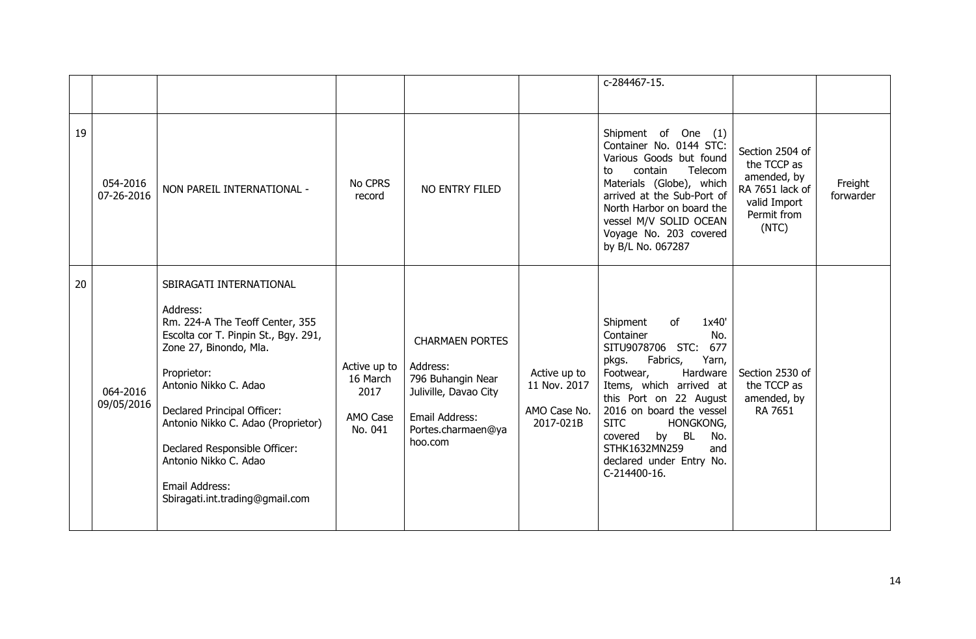|    |                        |                                                                                                                                                                                                                                                                                                                                                                      |                                                         |                                                                                                                                     |                                                           | c-284467-15.                                                                                                                                                                                                                                                                                                                              |                                                                                                          |                      |
|----|------------------------|----------------------------------------------------------------------------------------------------------------------------------------------------------------------------------------------------------------------------------------------------------------------------------------------------------------------------------------------------------------------|---------------------------------------------------------|-------------------------------------------------------------------------------------------------------------------------------------|-----------------------------------------------------------|-------------------------------------------------------------------------------------------------------------------------------------------------------------------------------------------------------------------------------------------------------------------------------------------------------------------------------------------|----------------------------------------------------------------------------------------------------------|----------------------|
| 19 | 054-2016<br>07-26-2016 | NON PAREIL INTERNATIONAL -                                                                                                                                                                                                                                                                                                                                           | No CPRS<br>record                                       | NO ENTRY FILED                                                                                                                      |                                                           | Shipment of One (1)<br>Container No. 0144 STC:<br>Various Goods but found<br>contain<br>Telecom<br>to<br>Materials (Globe), which<br>arrived at the Sub-Port of<br>North Harbor on board the<br>vessel M/V SOLID OCEAN<br>Voyage No. 203 covered<br>by B/L No. 067287                                                                     | Section 2504 of<br>the TCCP as<br>amended, by<br>RA 7651 lack of<br>valid Import<br>Permit from<br>(NTC) | Freight<br>forwarder |
| 20 | 064-2016<br>09/05/2016 | SBIRAGATI INTERNATIONAL<br>Address:<br>Rm. 224-A The Teoff Center, 355<br>Escolta cor T. Pinpin St., Bgy. 291,<br>Zone 27, Binondo, Mla.<br>Proprietor:<br>Antonio Nikko C. Adao<br>Declared Principal Officer:<br>Antonio Nikko C. Adao (Proprietor)<br>Declared Responsible Officer:<br>Antonio Nikko C. Adao<br>Email Address:<br>Sbiragati.int.trading@gmail.com | Active up to<br>16 March<br>2017<br>AMO Case<br>No. 041 | <b>CHARMAEN PORTES</b><br>Address:<br>796 Buhangin Near<br>Juliville, Davao City<br>Email Address:<br>Portes.charmaen@ya<br>hoo.com | Active up to<br>11 Nov. 2017<br>AMO Case No.<br>2017-021B | 1x40'<br>Shipment<br>of<br>Container<br>No.<br>SITU9078706 STC:<br>677<br>Fabrics,<br>Yarn,<br>pkgs.<br>Footwear,<br>Hardware<br>Items, which arrived at<br>this Port on 22 August<br>2016 on board the vessel<br><b>SITC</b><br>HONGKONG,<br>by BL<br>covered<br>No.<br>STHK1632MN259<br>and<br>declared under Entry No.<br>C-214400-16. | Section 2530 of<br>the TCCP as<br>amended, by<br>RA 7651                                                 |                      |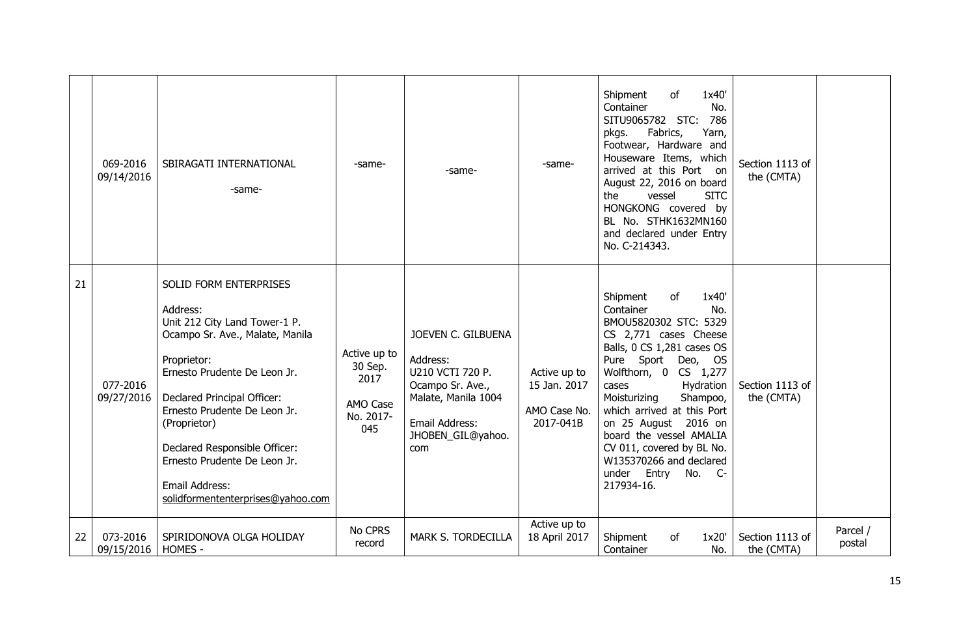|    | 069-2016<br>09/14/2016 | SBIRAGATI INTERNATIONAL<br>-same-                                                                                                                                                                                                                                                                                                                            | -same-                                                          | -same-                                                                                                                                      | -same-                                                    | 1x40'<br>Shipment<br>of<br>Container<br>No.<br>STC:<br>786<br>SITU9065782<br>Fabrics,<br>Yarn,<br>pkgs.<br>Footwear, Hardware and<br>Houseware Items, which<br>arrived at this Port on<br>August 22, 2016 on board<br>the<br>vessel<br><b>SITC</b><br>HONGKONG covered by<br>BL No. STHK1632MN160<br>and declared under Entry<br>No. C-214343.                                                               | Section 1113 of<br>the (CMTA) |                    |
|----|------------------------|--------------------------------------------------------------------------------------------------------------------------------------------------------------------------------------------------------------------------------------------------------------------------------------------------------------------------------------------------------------|-----------------------------------------------------------------|---------------------------------------------------------------------------------------------------------------------------------------------|-----------------------------------------------------------|--------------------------------------------------------------------------------------------------------------------------------------------------------------------------------------------------------------------------------------------------------------------------------------------------------------------------------------------------------------------------------------------------------------|-------------------------------|--------------------|
| 21 | 077-2016<br>09/27/2016 | SOLID FORM ENTERPRISES<br>Address:<br>Unit 212 City Land Tower-1 P.<br>Ocampo Sr. Ave., Malate, Manila<br>Proprietor:<br>Ernesto Prudente De Leon Jr.<br>Declared Principal Officer:<br>Ernesto Prudente De Leon Jr.<br>(Proprietor)<br>Declared Responsible Officer:<br>Ernesto Prudente De Leon Jr.<br>Email Address:<br>solidformententerprises@yahoo.com | Active up to<br>30 Sep.<br>2017<br>AMO Case<br>No. 2017-<br>045 | JOEVEN C. GILBUENA<br>Address:<br>U210 VCTI 720 P.<br>Ocampo Sr. Ave.,<br>Malate, Manila 1004<br>Email Address:<br>JHOBEN_GIL@yahoo.<br>com | Active up to<br>15 Jan. 2017<br>AMO Case No.<br>2017-041B | Shipment<br>1x40'<br>of<br>Container<br>No.<br>BMOU5820302 STC: 5329<br>CS 2,771 cases Cheese<br>Balls, 0 CS 1,281 cases OS<br>Pure Sport Deo, OS<br>Wolfthorn, 0 CS 1,277<br>Hydration<br>cases<br>Moisturizing<br>Shampoo,<br>which arrived at this Port<br>on 25 August 2016 on<br>board the vessel AMALIA<br>CV 011, covered by BL No.<br>W135370266 and declared<br>under Entry<br>No. C-<br>217934-16. | Section 1113 of<br>the (CMTA) |                    |
| 22 | 073-2016<br>09/15/2016 | SPIRIDONOVA OLGA HOLIDAY<br>HOMES -                                                                                                                                                                                                                                                                                                                          | No CPRS<br>record                                               | MARK S. TORDECILLA                                                                                                                          | Active up to<br>18 April 2017                             | Shipment<br>1x20'<br>of<br>Container<br>No.                                                                                                                                                                                                                                                                                                                                                                  | Section 1113 of<br>the (CMTA) | Parcel /<br>postal |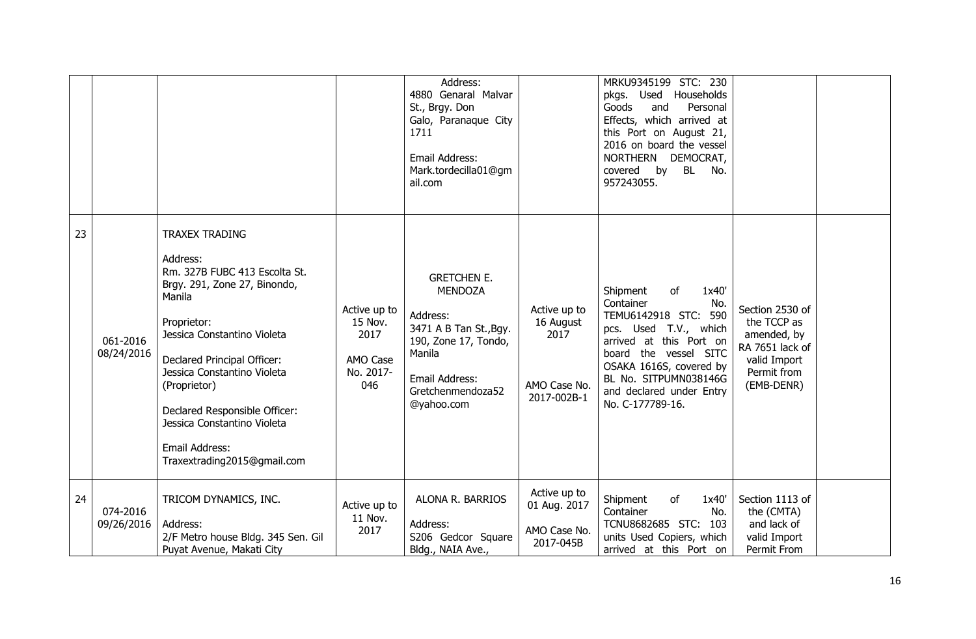|    |                        |                                                                                                                                                                                                                                                                                                                                                           |                                                                 | Address:<br>4880 Genaral Malvar<br>St., Brgy. Don<br>Galo, Paranaque City<br>1711<br>Email Address:<br>Mark.tordecilla01@gm<br>ail.com                            |                                                                  | MRKU9345199 STC: 230<br>pkgs. Used Households<br>Personal<br>Goods<br>and<br>Effects, which arrived at<br>this Port on August 21,<br>2016 on board the vessel<br>NORTHERN DEMOCRAT,<br>covered by<br><b>BL</b><br>No.<br>957243055.                  |                                                                                                               |  |
|----|------------------------|-----------------------------------------------------------------------------------------------------------------------------------------------------------------------------------------------------------------------------------------------------------------------------------------------------------------------------------------------------------|-----------------------------------------------------------------|-------------------------------------------------------------------------------------------------------------------------------------------------------------------|------------------------------------------------------------------|------------------------------------------------------------------------------------------------------------------------------------------------------------------------------------------------------------------------------------------------------|---------------------------------------------------------------------------------------------------------------|--|
| 23 | 061-2016<br>08/24/2016 | <b>TRAXEX TRADING</b><br>Address:<br>Rm. 327B FUBC 413 Escolta St.<br>Brgy. 291, Zone 27, Binondo,<br>Manila<br>Proprietor:<br>Jessica Constantino Violeta<br>Declared Principal Officer:<br>Jessica Constantino Violeta<br>(Proprietor)<br>Declared Responsible Officer:<br>Jessica Constantino Violeta<br>Email Address:<br>Traxextrading2015@gmail.com | Active up to<br>15 Nov.<br>2017<br>AMO Case<br>No. 2017-<br>046 | <b>GRETCHEN E.</b><br><b>MENDOZA</b><br>Address:<br>3471 A B Tan St., Bgy.<br>190, Zone 17, Tondo,<br>Manila<br>Email Address:<br>Gretchenmendoza52<br>@yahoo.com | Active up to<br>16 August<br>2017<br>AMO Case No.<br>2017-002B-1 | Shipment<br>of<br>1x40'<br>Container<br>No.<br>TEMU6142918 STC: 590<br>pcs. Used T.V., which<br>arrived at this Port on<br>board the vessel SITC<br>OSAKA 1616S, covered by<br>BL No. SITPUMN038146G<br>and declared under Entry<br>No. C-177789-16. | Section 2530 of<br>the TCCP as<br>amended, by<br>RA 7651 lack of<br>valid Import<br>Permit from<br>(EMB-DENR) |  |
| 24 | 074-2016<br>09/26/2016 | TRICOM DYNAMICS, INC.<br>Address:<br>2/F Metro house Bldg. 345 Sen. Gil<br>Puyat Avenue, Makati City                                                                                                                                                                                                                                                      | Active up to<br>11 Nov.<br>2017                                 | ALONA R. BARRIOS<br>Address:<br>S206 Gedcor Square<br>Bldg., NAIA Ave.,                                                                                           | Active up to<br>01 Aug. 2017<br>AMO Case No.<br>2017-045B        | of<br>Shipment<br>1x40'<br>Container<br>No.<br><b>TCNU8682685 STC:</b><br>103<br>units Used Copiers, which<br>arrived at this Port on                                                                                                                | Section 1113 of<br>the (CMTA)<br>and lack of<br>valid Import<br>Permit From                                   |  |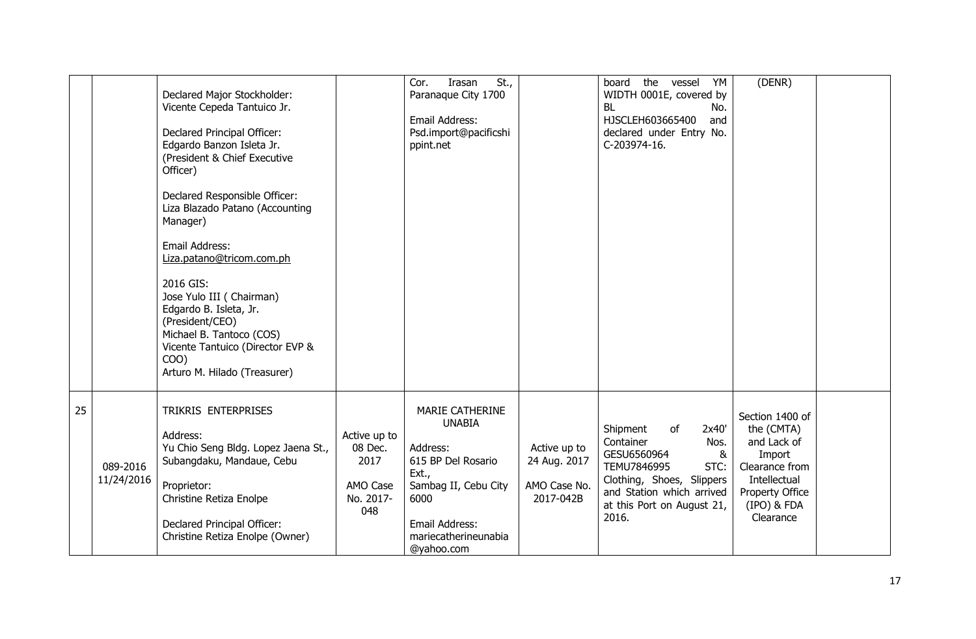|    |                        | Declared Major Stockholder:<br>Vicente Cepeda Tantuico Jr.<br>Declared Principal Officer:<br>Edgardo Banzon Isleta Jr.<br>(President & Chief Executive<br>Officer)<br>Declared Responsible Officer:<br>Liza Blazado Patano (Accounting<br>Manager)<br>Email Address:<br>Liza.patano@tricom.com.ph |                                                                 | St.,<br>Cor.<br>Irasan<br>Paranaque City 1700<br>Email Address:<br>Psd.import@pacificshi<br>ppint.net                                                                      |                                                           | the vessel YM<br>board<br>WIDTH 0001E, covered by<br><b>BL</b><br>No.<br>HJSCLEH603665400<br>and<br>declared under Entry No.<br>C-203974-16.                                             | (DENR)                                                                                                                                  |  |
|----|------------------------|---------------------------------------------------------------------------------------------------------------------------------------------------------------------------------------------------------------------------------------------------------------------------------------------------|-----------------------------------------------------------------|----------------------------------------------------------------------------------------------------------------------------------------------------------------------------|-----------------------------------------------------------|------------------------------------------------------------------------------------------------------------------------------------------------------------------------------------------|-----------------------------------------------------------------------------------------------------------------------------------------|--|
|    |                        | 2016 GIS:<br>Jose Yulo III (Chairman)<br>Edgardo B. Isleta, Jr.<br>(President/CEO)<br>Michael B. Tantoco (COS)<br>Vicente Tantuico (Director EVP &<br>COO)<br>Arturo M. Hilado (Treasurer)                                                                                                        |                                                                 |                                                                                                                                                                            |                                                           |                                                                                                                                                                                          |                                                                                                                                         |  |
| 25 | 089-2016<br>11/24/2016 | TRIKRIS ENTERPRISES<br>Address:<br>Yu Chio Seng Bldg. Lopez Jaena St.,<br>Subangdaku, Mandaue, Cebu<br>Proprietor:<br>Christine Retiza Enolpe<br>Declared Principal Officer:<br>Christine Retiza Enolpe (Owner)                                                                                   | Active up to<br>08 Dec.<br>2017<br>AMO Case<br>No. 2017-<br>048 | <b>MARIE CATHERINE</b><br><b>UNABIA</b><br>Address:<br>615 BP Del Rosario<br>Ext.,<br>Sambag II, Cebu City<br>6000<br>Email Address:<br>mariecatherineunabia<br>@yahoo.com | Active up to<br>24 Aug. 2017<br>AMO Case No.<br>2017-042B | Shipment<br>of<br>2x40'<br>Container<br>Nos.<br>GESU6560964<br>&<br>TEMU7846995<br>STC:<br>Clothing, Shoes, Slippers<br>and Station which arrived<br>at this Port on August 21,<br>2016. | Section 1400 of<br>the (CMTA)<br>and Lack of<br>Import<br>Clearance from<br>Intellectual<br>Property Office<br>(IPO) & FDA<br>Clearance |  |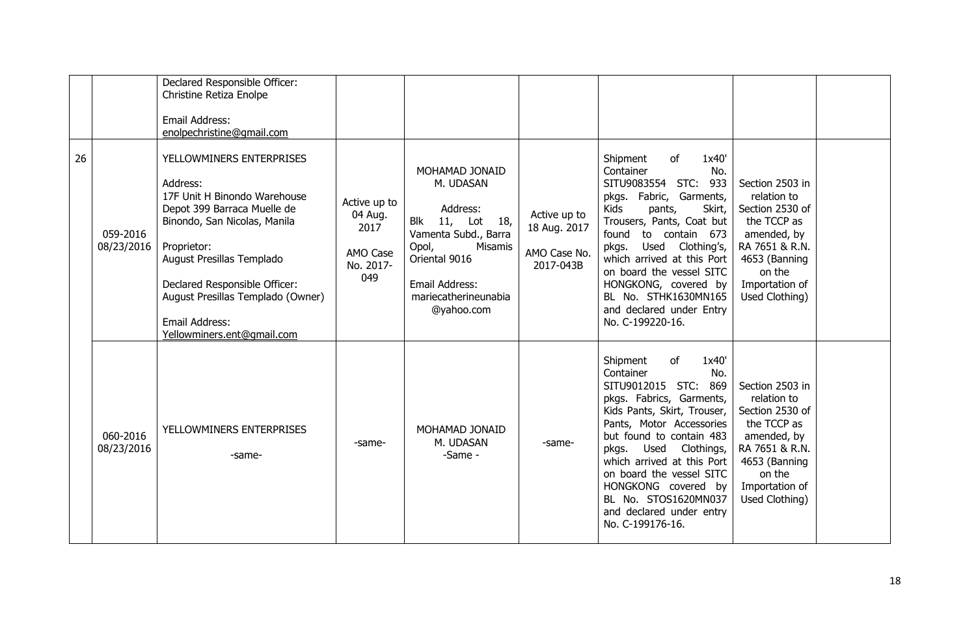|    |                        | Declared Responsible Officer:<br>Christine Retiza Enolpe<br>Email Address:<br>enolpechristine@gmail.com                                                                                                                                                                                               |                                                                 |                                                                                                                                                                                    |                                                           |                                                                                                                                                                                                                                                                                                                                                                                  |                                                                                                                                                                  |  |
|----|------------------------|-------------------------------------------------------------------------------------------------------------------------------------------------------------------------------------------------------------------------------------------------------------------------------------------------------|-----------------------------------------------------------------|------------------------------------------------------------------------------------------------------------------------------------------------------------------------------------|-----------------------------------------------------------|----------------------------------------------------------------------------------------------------------------------------------------------------------------------------------------------------------------------------------------------------------------------------------------------------------------------------------------------------------------------------------|------------------------------------------------------------------------------------------------------------------------------------------------------------------|--|
| 26 | 059-2016<br>08/23/2016 | YELLOWMINERS ENTERPRISES<br>Address:<br>17F Unit H Binondo Warehouse<br>Depot 399 Barraca Muelle de<br>Binondo, San Nicolas, Manila<br>Proprietor:<br>August Presillas Templado<br>Declared Responsible Officer:<br>August Presillas Templado (Owner)<br>Email Address:<br>Yellowminers.ent@gmail.com | Active up to<br>04 Aug.<br>2017<br>AMO Case<br>No. 2017-<br>049 | MOHAMAD JONAID<br>M. UDASAN<br>Address:<br>Blk 11, Lot<br>18,<br>Vamenta Subd., Barra<br>Opol,<br>Misamis<br>Oriental 9016<br>Email Address:<br>mariecatherineunabia<br>@yahoo.com | Active up to<br>18 Aug. 2017<br>AMO Case No.<br>2017-043B | Shipment<br>of<br>1x40'<br>Container<br>No.<br>SITU9083554 STC:<br>933<br>pkgs. Fabric, Garments,<br><b>Kids</b><br>pants,<br>Skirt,<br>Trousers, Pants, Coat but<br>found<br>to contain 673<br>pkgs. Used Clothing's,<br>which arrived at this Port<br>on board the vessel SITC<br>HONGKONG, covered by<br>BL No. STHK1630MN165<br>and declared under Entry<br>No. C-199220-16. | Section 2503 in<br>relation to<br>Section 2530 of<br>the TCCP as<br>amended, by<br>RA 7651 & R.N.<br>4653 (Banning<br>on the<br>Importation of<br>Used Clothing) |  |
|    | 060-2016<br>08/23/2016 | YELLOWMINERS ENTERPRISES<br>-same-                                                                                                                                                                                                                                                                    | -same-                                                          | MOHAMAD JONAID<br>M. UDASAN<br>-Same -                                                                                                                                             | -same-                                                    | Shipment<br>of<br>1x40'<br>Container<br>No.<br>SITU9012015 STC:<br>869<br>pkgs. Fabrics, Garments,<br>Kids Pants, Skirt, Trouser,<br>Pants, Motor Accessories<br>but found to contain 483<br>Used Clothings,<br>pkgs.<br>which arrived at this Port<br>on board the vessel SITC<br>HONGKONG covered by<br>BL No. STOS1620MN037<br>and declared under entry<br>No. C-199176-16.   | Section 2503 in<br>relation to<br>Section 2530 of<br>the TCCP as<br>amended, by<br>RA 7651 & R.N.<br>4653 (Banning<br>on the<br>Importation of<br>Used Clothing) |  |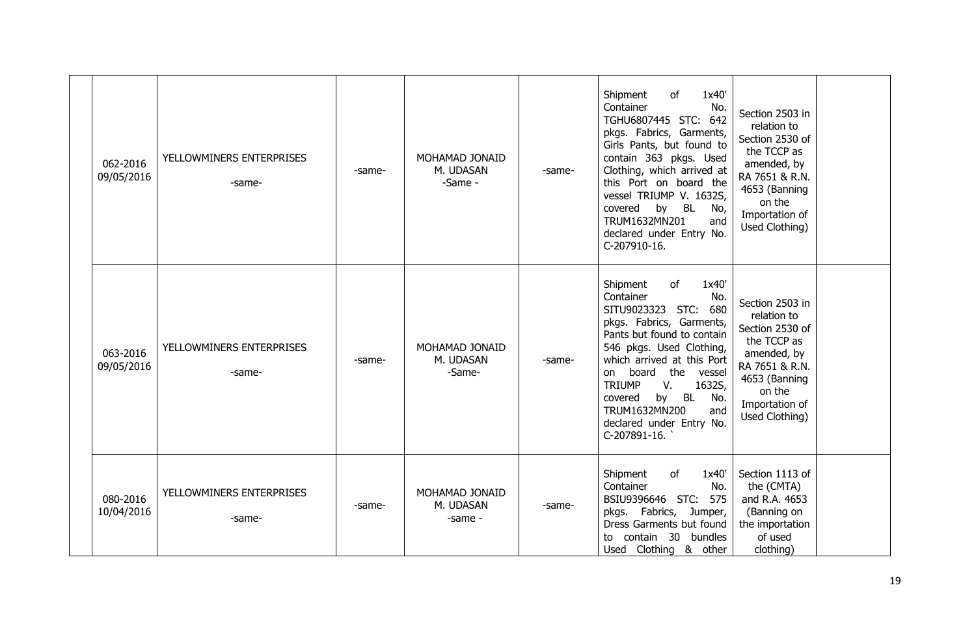| 062-2016<br>09/05/2016 | YELLOWMINERS ENTERPRISES<br>-same- | -same- | MOHAMAD JONAID<br>M. UDASAN<br>-Same - | -same- | Shipment<br>of<br>1x40'<br>Container<br>No.<br>TGHU6807445 STC: 642<br>pkgs. Fabrics, Garments,<br>Girls Pants, but found to<br>contain 363 pkgs. Used<br>Clothing, which arrived at<br>this Port on board the<br>vessel TRIUMP V. 1632S,<br>covered by BL No,<br>TRUM1632MN201<br>and<br>declared under Entry No.<br>C-207910-16.             | Section 2503 in<br>relation to<br>Section 2530 of<br>the TCCP as<br>amended, by<br>RA 7651 & R.N.<br>4653 (Banning<br>on the<br>Importation of<br>Used Clothing) |  |
|------------------------|------------------------------------|--------|----------------------------------------|--------|------------------------------------------------------------------------------------------------------------------------------------------------------------------------------------------------------------------------------------------------------------------------------------------------------------------------------------------------|------------------------------------------------------------------------------------------------------------------------------------------------------------------|--|
| 063-2016<br>09/05/2016 | YELLOWMINERS ENTERPRISES<br>-same- | -same- | MOHAMAD JONAID<br>M. UDASAN<br>-Same-  | -same- | Shipment<br>of<br>1x40'<br>Container<br>No.<br>SITU9023323 STC: 680<br>pkgs. Fabrics, Garments,<br>Pants but found to contain<br>546 pkgs. Used Clothing,<br>which arrived at this Port<br>on board the vessel<br><b>TRIUMP</b><br>V.<br>1632S,<br>by BL<br>covered<br>No.<br>TRUM1632MN200<br>and<br>declared under Entry No.<br>C-207891-16. | Section 2503 in<br>relation to<br>Section 2530 of<br>the TCCP as<br>amended, by<br>RA 7651 & R.N.<br>4653 (Banning<br>on the<br>Importation of<br>Used Clothing) |  |
| 080-2016<br>10/04/2016 | YELLOWMINERS ENTERPRISES<br>-same- | -same- | MOHAMAD JONAID<br>M. UDASAN<br>-same - | -same- | Shipment<br>of<br>1x40'<br>Container<br>No.<br>BSIU9396646 STC: 575<br>pkgs. Fabrics, Jumper,<br>Dress Garments but found<br>to contain 30 bundles<br>Used Clothing & other                                                                                                                                                                    | Section 1113 of<br>the (CMTA)<br>and R.A. 4653<br>(Banning on<br>the importation<br>of used<br>clothing)                                                         |  |